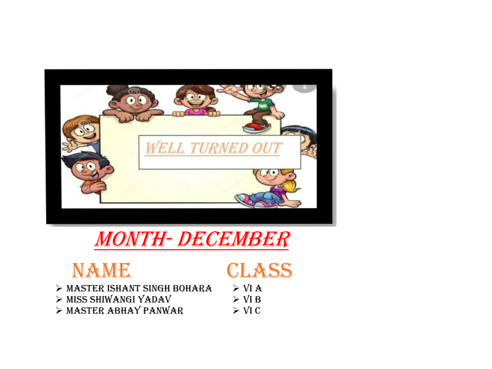

## Month- December

## NAME CLASS

- ➢ Master Ishant Singh Bohara
- ➢ Miss Shiwangi Yadav
- ➢ Master Abhay Panwar

 $>$  VI A  $>$  VI B  $>$  VI C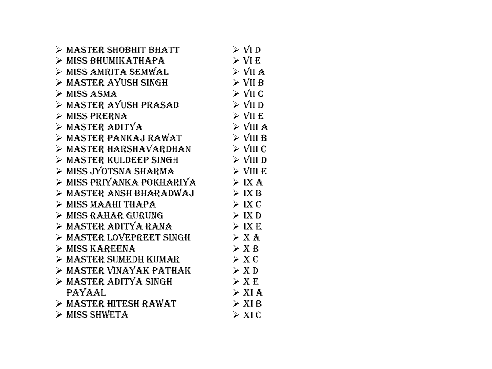| > MASTER SHOBHIT BHATT        | $\triangleright$ VI D            |
|-------------------------------|----------------------------------|
| > MISS BHUMIKATHAPA           | $\triangleright$ VI E            |
| > MISS AMRITA SEMWAL          | $\triangleright$ VII A           |
| > MASTER AYUSH SINGH          | $\triangleright$ VII B           |
| $>$ MISS ASMA                 | $\triangleright$ VII C           |
| > MASTER AYUSH PRASAD         | $\triangleright$ VII D           |
| $\triangleright$ MISS PRERNA  | $\triangleright$ VII E           |
| $>$ MASTER ADITYA             | $>$ VIII A                       |
| > MASTER PANKAJ RAWAT         | $\triangleright$ VIII B          |
| > MASTER HARSHAVARDHAN        | $\triangleright$ VIII C          |
| > MASTER KULDEEP SINGH        | $>$ VIII D                       |
| > MISS JYOTSNA SHARMA         | $\triangleright$ VIII E          |
| > MISS PRIYANKA POKHARIYA     | $>$ IX A                         |
| > MASTER ANSH BHARADWAJ       | $>$ IX B                         |
| $>$ MISS MAAHI THAPA          | $>$ IX C                         |
| > MISS RAHAR GURUNG           | > IX D                           |
| > MASTER ADITYA RANA          | $>$ IX E                         |
| > MASTER LOVEPREET SINGH      | > X A                            |
| $\triangleright$ MISS KAREENA | > X B                            |
| > MASTER SUMEDH KUMAR         | > X C                            |
| > MASTER VINAYAK PATHAK       | $>$ XD                           |
| > MASTER ADITYA SINGH         | $>$ X E                          |
| <b>PAYAAL</b>                 | $>$ XI A                         |
| > MASTER HITESH RAWAT         | $\triangleright$ XI <sub>B</sub> |
| > MISS SHWETA                 | $\triangleright$ XIC             |